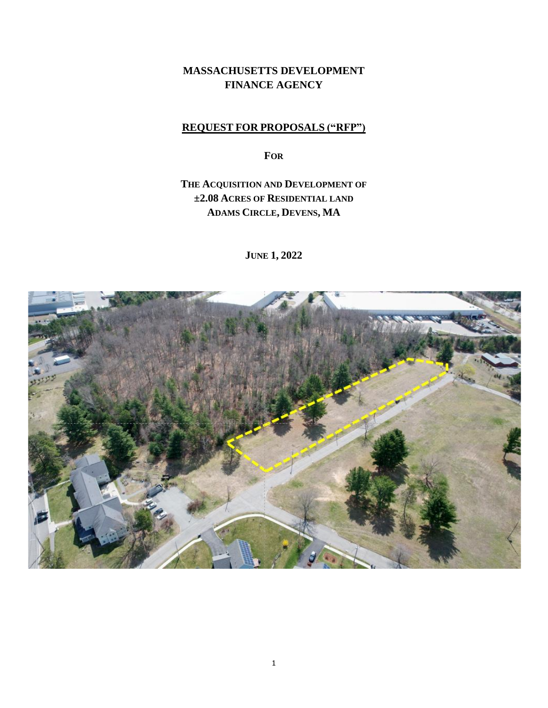# **MASSACHUSETTS DEVELOPMENT FINANCE AGENCY**

### **REQUEST FOR PROPOSALS ("RFP")**

**FOR**

# **THE ACQUISITION AND DEVELOPMENT OF ±2.08 ACRES OF RESIDENTIAL LAND ADAMS CIRCLE, DEVENS, MA**

**JUNE 1, 2022**

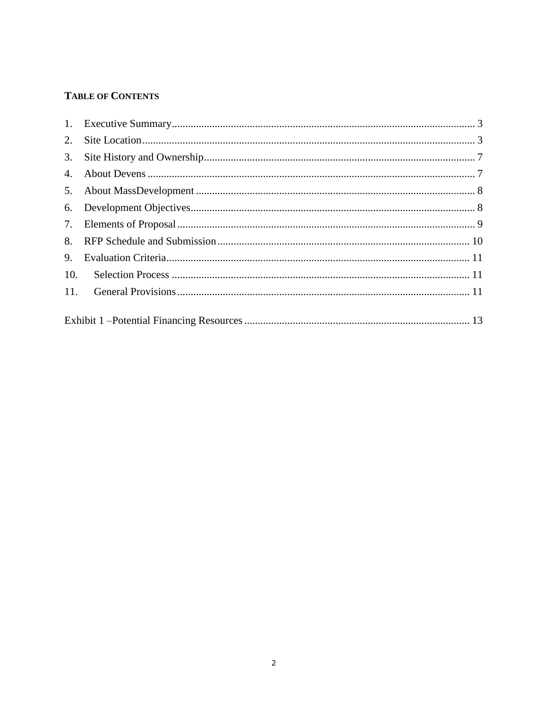## **TABLE OF CONTENTS**

| 2.               |  |
|------------------|--|
| 3.               |  |
| $\overline{4}$ . |  |
| 5.               |  |
| 6.               |  |
| 7.               |  |
| 8.               |  |
| 9.               |  |
| 10.              |  |
| 11.              |  |
|                  |  |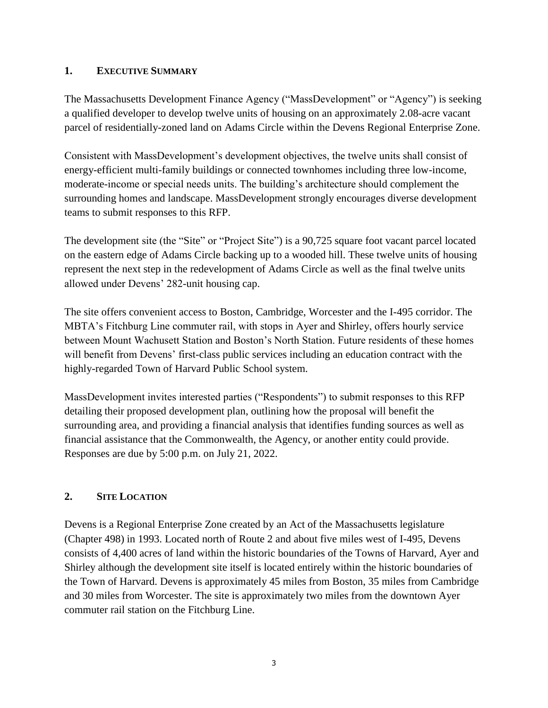#### <span id="page-2-0"></span>**1. EXECUTIVE SUMMARY**

The Massachusetts Development Finance Agency ("MassDevelopment" or "Agency") is seeking a qualified developer to develop twelve units of housing on an approximately 2.08-acre vacant parcel of residentially-zoned land on Adams Circle within the Devens Regional Enterprise Zone.

Consistent with MassDevelopment's development objectives, the twelve units shall consist of energy-efficient multi-family buildings or connected townhomes including three low-income, moderate-income or special needs units. The building's architecture should complement the surrounding homes and landscape. MassDevelopment strongly encourages diverse development teams to submit responses to this RFP.

The development site (the "Site" or "Project Site") is a 90,725 square foot vacant parcel located on the eastern edge of Adams Circle backing up to a wooded hill. These twelve units of housing represent the next step in the redevelopment of Adams Circle as well as the final twelve units allowed under Devens' 282-unit housing cap.

The site offers convenient access to Boston, Cambridge, Worcester and the I-495 corridor. The MBTA's Fitchburg Line commuter rail, with stops in Ayer and Shirley, offers hourly service between Mount Wachusett Station and Boston's North Station. Future residents of these homes will benefit from Devens' first-class public services including an education contract with the highly-regarded Town of Harvard Public School system.

MassDevelopment invites interested parties ("Respondents") to submit responses to this RFP detailing their proposed development plan, outlining how the proposal will benefit the surrounding area, and providing a financial analysis that identifies funding sources as well as financial assistance that the Commonwealth, the Agency, or another entity could provide. Responses are due by 5:00 p.m. on July 21, 2022.

### <span id="page-2-1"></span>**2. SITE LOCATION**

Devens is a Regional Enterprise Zone created by an Act of the Massachusetts legislature (Chapter 498) in 1993. Located north of Route 2 and about five miles west of I-495, Devens consists of 4,400 acres of land within the historic boundaries of the Towns of Harvard, Ayer and Shirley although the development site itself is located entirely within the historic boundaries of the Town of Harvard. Devens is approximately 45 miles from Boston, 35 miles from Cambridge and 30 miles from Worcester. The site is approximately two miles from the downtown Ayer commuter rail station on the Fitchburg Line.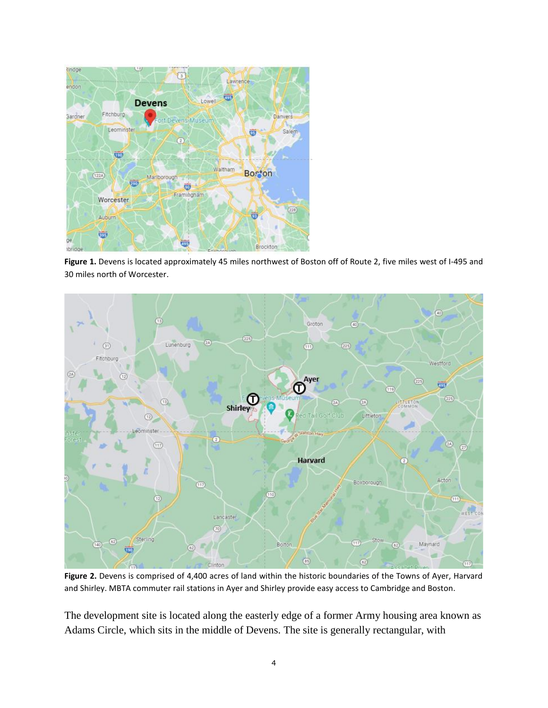

**Figure 1.** Devens is located approximately 45 miles northwest of Boston off of Route 2, five miles west of I-495 and 30 miles north of Worcester.



**Figure 2.** Devens is comprised of 4,400 acres of land within the historic boundaries of the Towns of Ayer, Harvard and Shirley. MBTA commuter rail stations in Ayer and Shirley provide easy access to Cambridge and Boston.

The development site is located along the easterly edge of a former Army housing area known as Adams Circle, which sits in the middle of Devens. The site is generally rectangular, with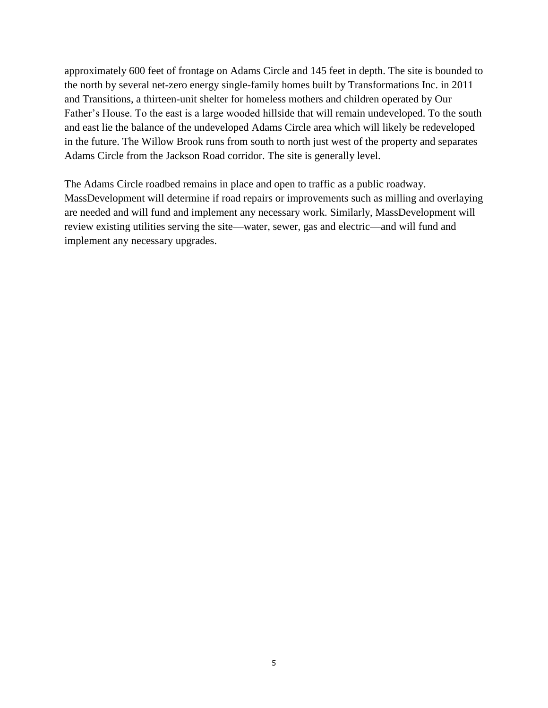approximately 600 feet of frontage on Adams Circle and 145 feet in depth. The site is bounded to the north by several net-zero energy single-family homes built by Transformations Inc. in 2011 and Transitions, a thirteen-unit shelter for homeless mothers and children operated by Our Father's House. To the east is a large wooded hillside that will remain undeveloped. To the south and east lie the balance of the undeveloped Adams Circle area which will likely be redeveloped in the future. The Willow Brook runs from south to north just west of the property and separates Adams Circle from the Jackson Road corridor. The site is generally level.

The Adams Circle roadbed remains in place and open to traffic as a public roadway. MassDevelopment will determine if road repairs or improvements such as milling and overlaying are needed and will fund and implement any necessary work. Similarly, MassDevelopment will review existing utilities serving the site—water, sewer, gas and electric—and will fund and implement any necessary upgrades.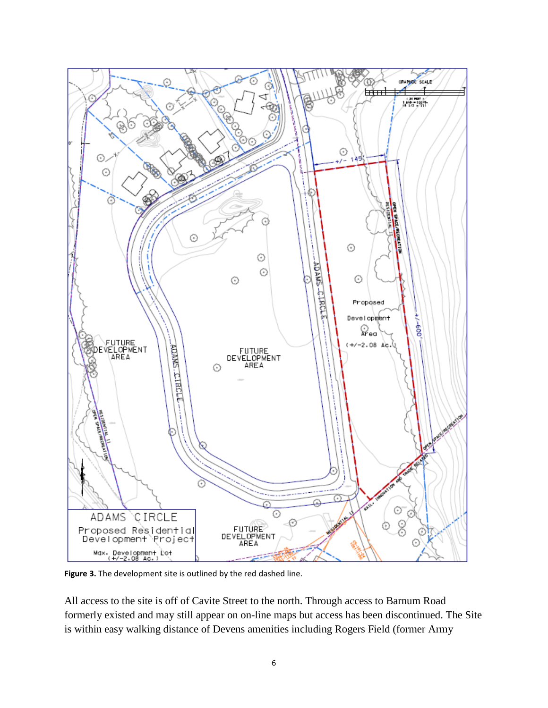

**Figure 3.** The development site is outlined by the red dashed line.

All access to the site is off of Cavite Street to the north. Through access to Barnum Road formerly existed and may still appear on on-line maps but access has been discontinued. The Site is within easy walking distance of Devens amenities including Rogers Field (former Army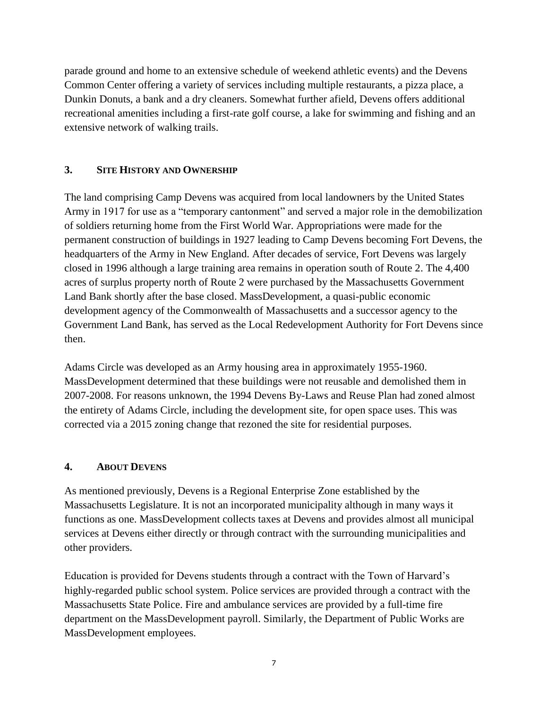parade ground and home to an extensive schedule of weekend athletic events) and the Devens Common Center offering a variety of services including multiple restaurants, a pizza place, a Dunkin Donuts, a bank and a dry cleaners. Somewhat further afield, Devens offers additional recreational amenities including a first-rate golf course, a lake for swimming and fishing and an extensive network of walking trails.

### <span id="page-6-0"></span>**3. SITE HISTORY AND OWNERSHIP**

The land comprising Camp Devens was acquired from local landowners by the United States Army in 1917 for use as a "temporary cantonment" and served a major role in the demobilization of soldiers returning home from the First World War. Appropriations were made for the permanent construction of buildings in 1927 leading to Camp Devens becoming Fort Devens, the headquarters of the Army in New England. After decades of service, Fort Devens was largely closed in 1996 although a large training area remains in operation south of Route 2. The 4,400 acres of surplus property north of Route 2 were purchased by the Massachusetts Government Land Bank shortly after the base closed. MassDevelopment, a quasi-public economic development agency of the Commonwealth of Massachusetts and a successor agency to the Government Land Bank, has served as the Local Redevelopment Authority for Fort Devens since then.

Adams Circle was developed as an Army housing area in approximately 1955-1960. MassDevelopment determined that these buildings were not reusable and demolished them in 2007-2008. For reasons unknown, the 1994 Devens By-Laws and Reuse Plan had zoned almost the entirety of Adams Circle, including the development site, for open space uses. This was corrected via a 2015 zoning change that rezoned the site for residential purposes.

### <span id="page-6-1"></span>**4. ABOUT DEVENS**

As mentioned previously, Devens is a Regional Enterprise Zone established by the Massachusetts Legislature. It is not an incorporated municipality although in many ways it functions as one. MassDevelopment collects taxes at Devens and provides almost all municipal services at Devens either directly or through contract with the surrounding municipalities and other providers.

Education is provided for Devens students through a contract with the Town of Harvard's highly-regarded public school system. Police services are provided through a contract with the Massachusetts State Police. Fire and ambulance services are provided by a full-time fire department on the MassDevelopment payroll. Similarly, the Department of Public Works are MassDevelopment employees.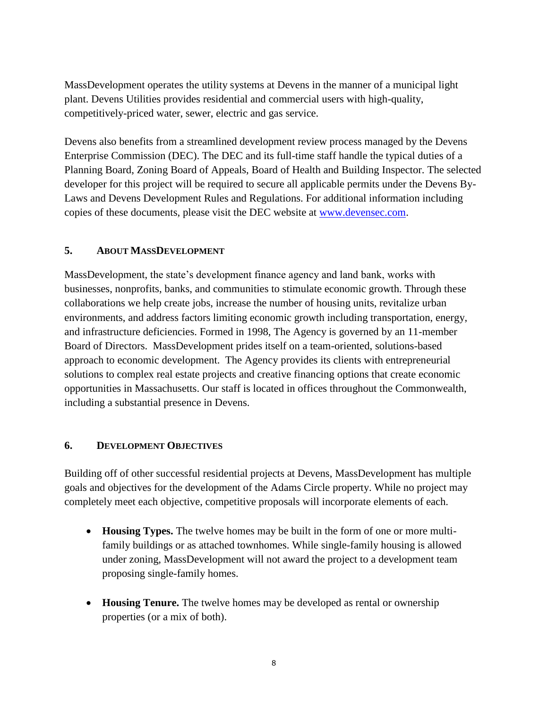MassDevelopment operates the utility systems at Devens in the manner of a municipal light plant. Devens Utilities provides residential and commercial users with high-quality, competitively-priced water, sewer, electric and gas service.

Devens also benefits from a streamlined development review process managed by the Devens Enterprise Commission (DEC). The DEC and its full-time staff handle the typical duties of a Planning Board, Zoning Board of Appeals, Board of Health and Building Inspector. The selected developer for this project will be required to secure all applicable permits under the Devens By-Laws and Devens Development Rules and Regulations. For additional information including copies of these documents, please visit the DEC website at [www.devensec.com.](http://www.devensec.com/)

### <span id="page-7-0"></span>**5. ABOUT MASSDEVELOPMENT**

MassDevelopment, the state's development finance agency and land bank, works with businesses, nonprofits, banks, and communities to stimulate economic growth. Through these collaborations we help create jobs, increase the number of housing units, revitalize urban environments, and address factors limiting economic growth including transportation, energy, and infrastructure deficiencies. Formed in 1998, The Agency is governed by an 11-member Board of Directors. MassDevelopment prides itself on a team-oriented, solutions-based approach to economic development. The Agency provides its clients with entrepreneurial solutions to complex real estate projects and creative financing options that create economic opportunities in Massachusetts. Our staff is located in offices throughout the Commonwealth, including a substantial presence in Devens.

### <span id="page-7-1"></span>**6. DEVELOPMENT OBJECTIVES**

Building off of other successful residential projects at Devens, MassDevelopment has multiple goals and objectives for the development of the Adams Circle property. While no project may completely meet each objective, competitive proposals will incorporate elements of each.

- **Housing Types.** The twelve homes may be built in the form of one or more multifamily buildings or as attached townhomes. While single-family housing is allowed under zoning, MassDevelopment will not award the project to a development team proposing single-family homes.
- **Housing Tenure.** The twelve homes may be developed as rental or ownership properties (or a mix of both).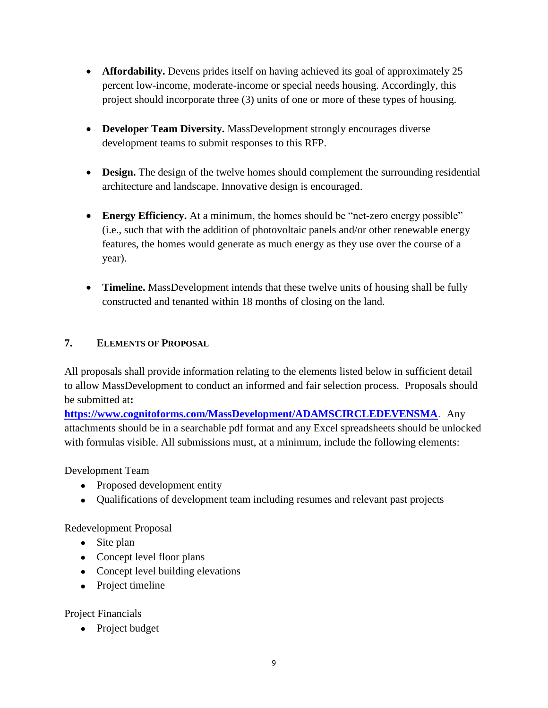- **Affordability.** Devens prides itself on having achieved its goal of approximately 25 percent low-income, moderate-income or special needs housing. Accordingly, this project should incorporate three (3) units of one or more of these types of housing.
- **Developer Team Diversity.** MassDevelopment strongly encourages diverse development teams to submit responses to this RFP.
- **Design.** The design of the twelve homes should complement the surrounding residential architecture and landscape. Innovative design is encouraged.
- Energy Efficiency. At a minimum, the homes should be "net-zero energy possible" (i.e., such that with the addition of photovoltaic panels and/or other renewable energy features, the homes would generate as much energy as they use over the course of a year).
- **Timeline.** MassDevelopment intends that these twelve units of housing shall be fully constructed and tenanted within 18 months of closing on the land.

## <span id="page-8-0"></span>**7. ELEMENTS OF PROPOSAL**

All proposals shall provide information relating to the elements listed below in sufficient detail to allow MassDevelopment to conduct an informed and fair selection process. Proposals should be submitted at**:**

**<https://www.cognitoforms.com/MassDevelopment/ADAMSCIRCLEDEVENSMA>**. Any attachments should be in a searchable pdf format and any Excel spreadsheets should be unlocked with formulas visible. All submissions must, at a minimum, include the following elements:

Development Team

- Proposed development entity
- Qualifications of development team including resumes and relevant past projects

Redevelopment Proposal

- Site plan
- Concept level floor plans
- Concept level building elevations
- Project timeline

Project Financials

• Project budget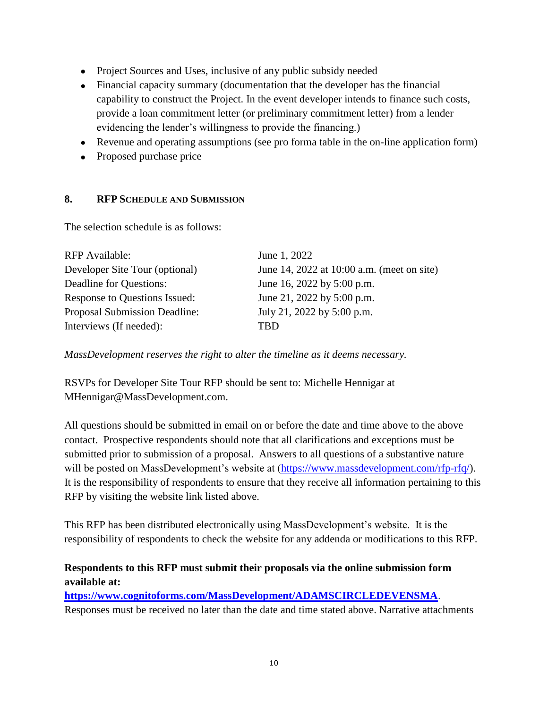- Project Sources and Uses, inclusive of any public subsidy needed
- Financial capacity summary (documentation that the developer has the financial capability to construct the Project. In the event developer intends to finance such costs, provide a loan commitment letter (or preliminary commitment letter) from a lender evidencing the lender's willingness to provide the financing.)
- Revenue and operating assumptions (see pro forma table in the on-line application form)
- Proposed purchase price

### <span id="page-9-0"></span>**8. RFP SCHEDULE AND SUBMISSION**

The selection schedule is as follows:

| <b>RFP</b> Available:          | June 1, 2022                               |
|--------------------------------|--------------------------------------------|
| Developer Site Tour (optional) | June 14, 2022 at 10:00 a.m. (meet on site) |
| Deadline for Questions:        | June 16, 2022 by 5:00 p.m.                 |
| Response to Questions Issued:  | June 21, 2022 by 5:00 p.m.                 |
| Proposal Submission Deadline:  | July 21, 2022 by 5:00 p.m.                 |
| Interviews (If needed):        | TRD                                        |

*MassDevelopment reserves the right to alter the timeline as it deems necessary.*

RSVPs for Developer Site Tour RFP should be sent to: Michelle Hennigar at MHennigar@MassDevelopment.com.

All questions should be submitted in email on or before the date and time above to the above contact. Prospective respondents should note that all clarifications and exceptions must be submitted prior to submission of a proposal. Answers to all questions of a substantive nature will be posted on MassDevelopment's website at [\(https://www.massdevelopment.com/rfp-rfq/\)](https://www.massdevelopment.com/rfp-rfq/). It is the responsibility of respondents to ensure that they receive all information pertaining to this RFP by visiting the website link listed above.

This RFP has been distributed electronically using MassDevelopment's website. It is the responsibility of respondents to check the website for any addenda or modifications to this RFP.

## **Respondents to this RFP must submit their proposals via the online submission form available at:**

**<https://www.cognitoforms.com/MassDevelopment/ADAMSCIRCLEDEVENSMA>**. Responses must be received no later than the date and time stated above. Narrative attachments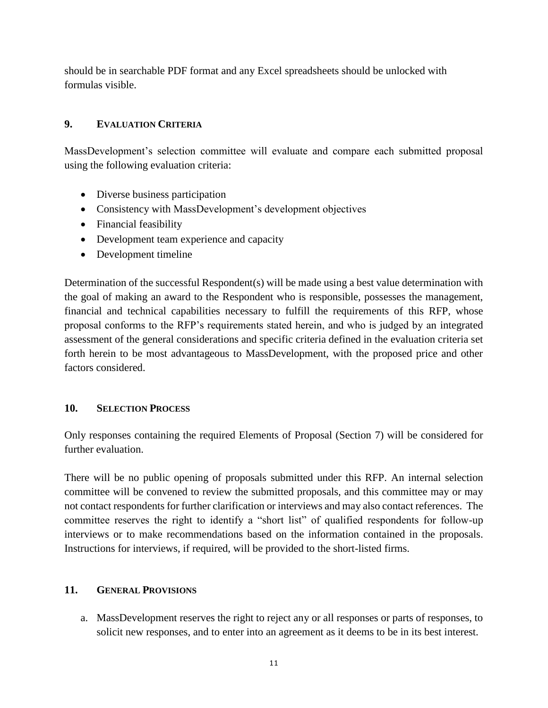should be in searchable PDF format and any Excel spreadsheets should be unlocked with formulas visible.

### <span id="page-10-0"></span>**9. EVALUATION CRITERIA**

MassDevelopment's selection committee will evaluate and compare each submitted proposal using the following evaluation criteria:

- Diverse business participation
- Consistency with MassDevelopment's development objectives
- Financial feasibility
- Development team experience and capacity
- Development timeline

Determination of the successful Respondent(s) will be made using a best value determination with the goal of making an award to the Respondent who is responsible, possesses the management, financial and technical capabilities necessary to fulfill the requirements of this RFP, whose proposal conforms to the RFP's requirements stated herein, and who is judged by an integrated assessment of the general considerations and specific criteria defined in the evaluation criteria set forth herein to be most advantageous to MassDevelopment, with the proposed price and other factors considered.

### <span id="page-10-1"></span>**10. SELECTION PROCESS**

Only responses containing the required Elements of Proposal (Section 7) will be considered for further evaluation.

There will be no public opening of proposals submitted under this RFP. An internal selection committee will be convened to review the submitted proposals, and this committee may or may not contact respondents for further clarification or interviews and may also contact references. The committee reserves the right to identify a "short list" of qualified respondents for follow-up interviews or to make recommendations based on the information contained in the proposals. Instructions for interviews, if required, will be provided to the short-listed firms.

#### <span id="page-10-2"></span>**11. GENERAL PROVISIONS**

a. MassDevelopment reserves the right to reject any or all responses or parts of responses, to solicit new responses, and to enter into an agreement as it deems to be in its best interest.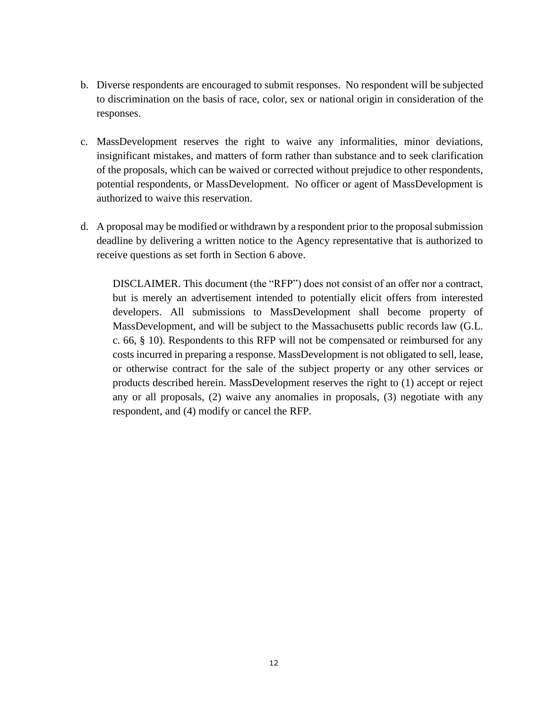- b. Diverse respondents are encouraged to submit responses. No respondent will be subjected to discrimination on the basis of race, color, sex or national origin in consideration of the responses.
- c. MassDevelopment reserves the right to waive any informalities, minor deviations, insignificant mistakes, and matters of form rather than substance and to seek clarification of the proposals, which can be waived or corrected without prejudice to other respondents, potential respondents, or MassDevelopment. No officer or agent of MassDevelopment is authorized to waive this reservation.
- d. A proposal may be modified or withdrawn by a respondent prior to the proposal submission deadline by delivering a written notice to the Agency representative that is authorized to receive questions as set forth in Section 6 above.

DISCLAIMER. This document (the "RFP") does not consist of an offer nor a contract, but is merely an advertisement intended to potentially elicit offers from interested developers. All submissions to MassDevelopment shall become property of MassDevelopment, and will be subject to the Massachusetts public records law (G.L. c. 66, § 10). Respondents to this RFP will not be compensated or reimbursed for any costs incurred in preparing a response. MassDevelopment is not obligated to sell, lease, or otherwise contract for the sale of the subject property or any other services or products described herein. MassDevelopment reserves the right to (1) accept or reject any or all proposals, (2) waive any anomalies in proposals, (3) negotiate with any respondent, and (4) modify or cancel the RFP.